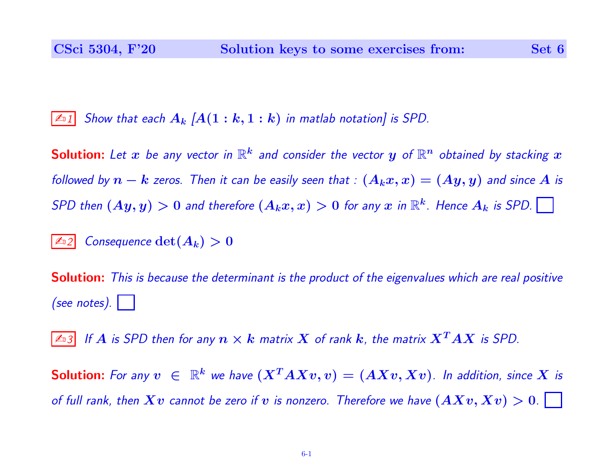$\mathbb{Z}_{1}$  Show that each  $A_k$   $[A(1:k,1:k)]$  in matlab notation] is SPD.

**Solution:** Let  $x$  be any vector in  $\mathbb{R}^k$  and consider the vector  $y$  of  $\mathbb{R}^n$  obtained by stacking  $x$ followed by  $n - k$  zeros. Then it can be easily seen that :  $(A_k x, x) = (Ay, y)$  and since  $A$  is SPD then  $(Ay,y) > 0$  and therefore  $(A_k x, x) > 0$  for any  $x$  in  $\mathbb{R}^k$ . Hence  $A_k$  is SPD.

## Consequence  $\det(A_k) > 0$

**Solution:** This is because the determinant is the product of the eigenvalues which are real positive  $(see notes).$ 

 $\mathbb{Z}_3$  If  $A$  is SPD then for any  $n\times k$  matrix  $X$  of rank  $k$ , the matrix  $X^TAX$  is SPD.

**Solution:** For any  $v~\in~\mathbb{R}^k$  we have  $(X^T A X v, v) = (A X v, X v)$ . In addition, since  $X$  is of full rank, then  $Xv$  cannot be zero if  $v$  is nonzero. Therefore we have  $(AXv,Xv) > 0$ .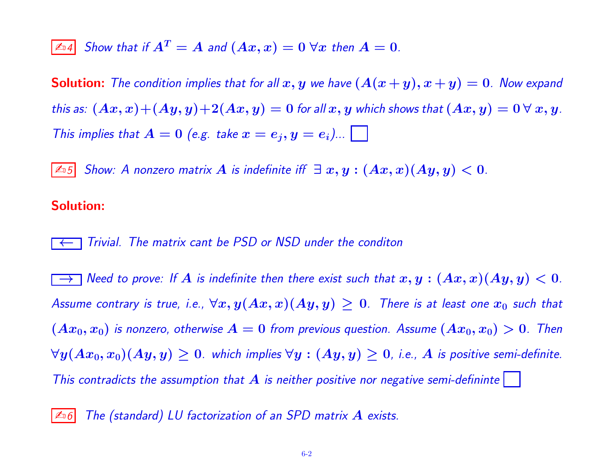$\boxed{\mathbb{Z}_04}$  Show that if  $A^T = A$  and  $(Ax, x) = 0 \,\forall x$  then  $A = 0$ .

**Solution:** The condition implies that for all  $x, y$  we have  $(A(x+y), x+y) = 0$ . Now expand this as:  $(Ax, x)+(Ay, y)+2(Ax, y) = 0$  for all  $x, y$  which shows that  $(Ax, y) = 0 \forall x, y$ . This implies that  $A=0$  (e.g. take  $x=e_j, y=e_i$ )...  $\hfill\Box$ 

 $\boxed{\mathbb{Z}_5}$  Show: A nonzero matrix  $A$  is indefinite iff  $\exists x,y:(Ax,x)(Ay,y)< 0.$ 

## Solution:

## Trivial. The matrix cant be PSD or NSD under the conditon

 $\overline{\;\;\rightarrow\;}$  Need to prove: If  $A$  is indefinite then there exist such that  $x,y: (Ax,x)(Ay,y) < 0.$ Assume contrary is true, i.e.,  $\forall x, y(Ax, x)(Ay, y) \ge 0$ . There is at least one  $x_0$  such that  $(Ax_0, x_0)$  is nonzero, otherwise  $A = 0$  from previous question. Assume  $(Ax_0, x_0) > 0$ . Then  $\forall y(Ax_0,x_0)(Ay,y)\geq 0.$  which implies  $\forall y:(Ay,y)\geq 0$ , i.e.,  $A$  is positive semi-definite. This contradicts the assumption that  $A$  is neither positive nor negative semi-defininte  $| \quad |$ 

 $|\mathbb{A}_6|$  The (standard) LU factorization of an SPD matrix  $A$  exists.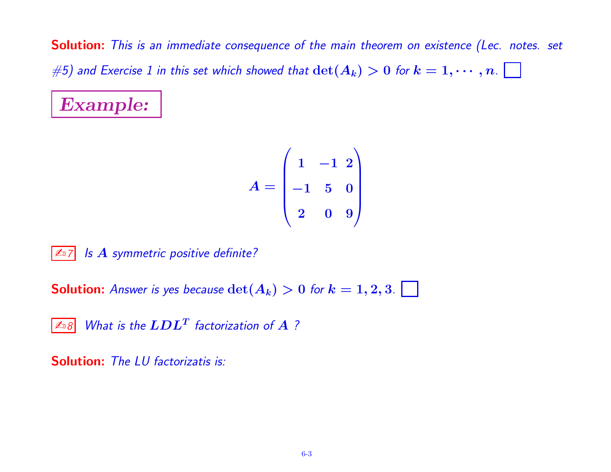Solution: This is an immediate consequence of the main theorem on existence (Lec. notes. set  $\#5)$  and Exercise 1 in this set which showed that  $\det(A_k) > 0$  for  $k = 1, \cdots, n$ .  $\Box$ 

Example:

$$
A = \begin{pmatrix} 1 & -1 & 2 \\ -1 & 5 & 0 \\ 2 & 0 & 9 \end{pmatrix}
$$



**Solution:** Answer is yes because  $\det(A_k) > 0$  for  $k = 1, 2, 3$ .

 $\boxed{\mathbb{Z}_\mathrm{D}8}$  What is the  $LDL^T$  factorization of  $A$  ?

Solution: The LU factorizatis is: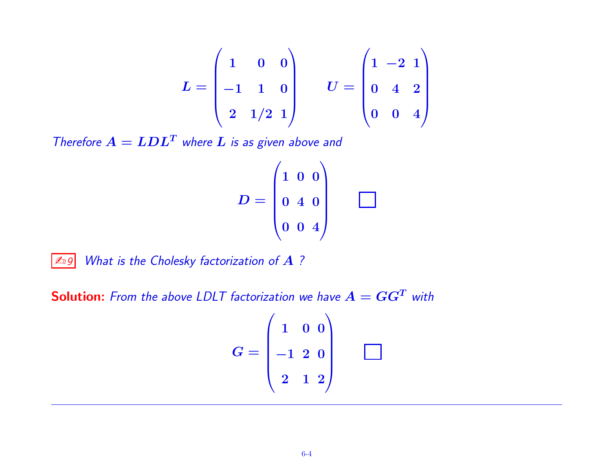$$
L = \begin{pmatrix} 1 & 0 & 0 \\ -1 & 1 & 0 \\ 2 & 1/2 & 1 \end{pmatrix} \qquad U = \begin{pmatrix} 1 & -2 & 1 \\ 0 & 4 & 2 \\ 0 & 0 & 4 \end{pmatrix}
$$

Therefore  $A = LDL^T$  where  $L$  is as given above and

$$
D = \begin{pmatrix} 1 & 0 & 0 \\ 0 & 4 & 0 \\ 0 & 0 & 4 \end{pmatrix} \qquad \Box
$$

 $\boxed{\mathbb{Z}_99}$  What is the Cholesky factorization of  $\bm{A}$  ?

**Solution:** From the above LDLT factorization we have  $A = GG^T$  with

$$
G = \begin{pmatrix} 1 & 0 & 0 \\ -1 & 2 & 0 \\ 2 & 1 & 2 \end{pmatrix} \qquad \qquad \Box
$$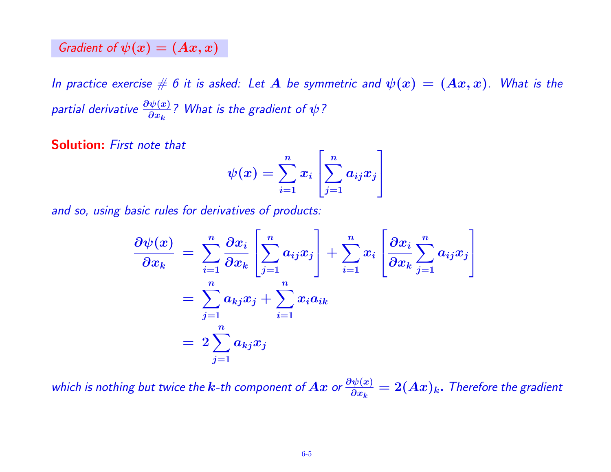## Gradient of  $\psi(x)=(Ax,x)^\top$

In practice exercise  $\#$  6 it is asked: Let  $A$  be symmetric and  $\psi(x)=(Ax,x).$  What is the partial derivative  $\frac{\partial \psi(x)}{\partial x_k}$ ? What is the gradient of  $\psi$ ?

Solution: First note that

$$
\psi(x) = \sum_{i=1}^n x_i \left[ \sum_{j=1}^n a_{ij} x_j \right]
$$

and so, using basic rules for derivatives of products:

$$
\begin{aligned} \frac{\partial \psi(x)}{\partial x_k} \ &= \ \sum_{i=1}^n \frac{\partial x_i}{\partial x_k} \left[ \sum_{j=1}^n a_{ij} x_j \right] + \sum_{i=1}^n x_i \left[ \frac{\partial x_i}{\partial x_k} \sum_{j=1}^n a_{ij} x_j \right] \\ & = \ \sum_{j=1}^n a_{kj} x_j + \sum_{i=1}^n x_i a_{ik} \\ & = \ 2 \sum_{j=1}^n a_{kj} x_j \end{aligned}
$$

which is nothing but twice the k-th component of  $Ax$  or  $\frac{\partial \psi(x)}{\partial x}$  $\frac{\partial \psi(x)}{\partial x_k} = 2 (Ax)_k.$  Therefore the gradient